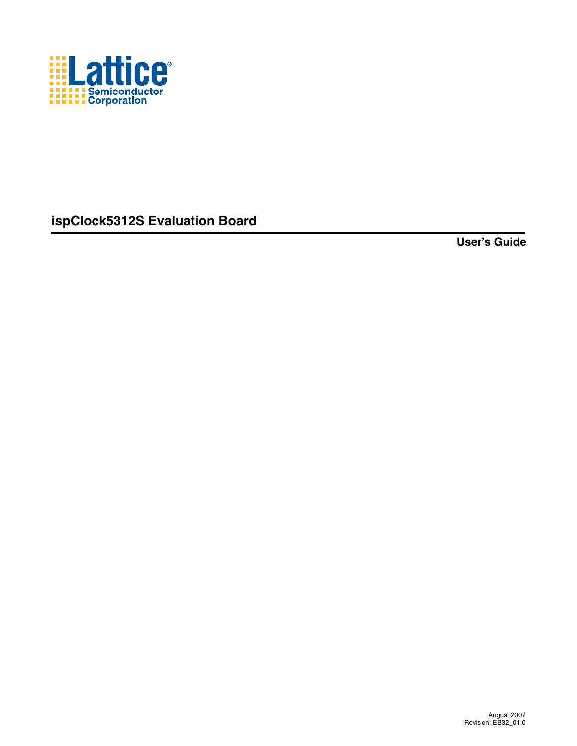

**ispClock5312S Evaluation Board**

**User's Guide**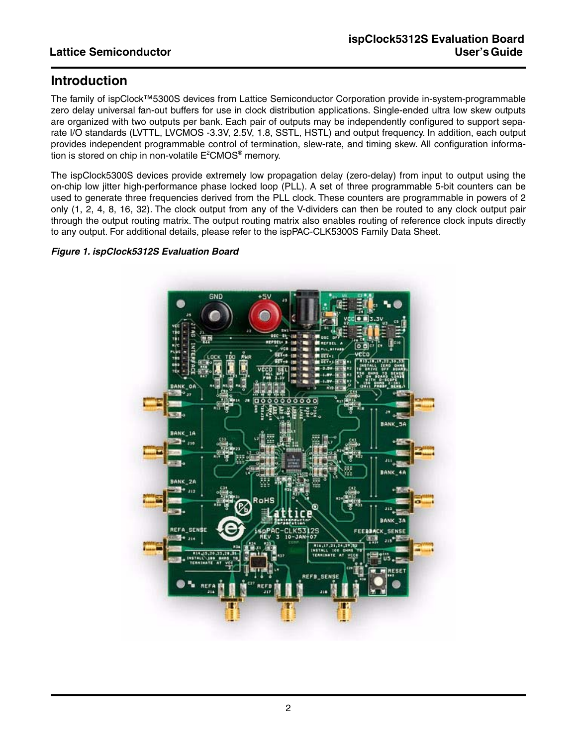## **Introduction**

The family of ispClock™5300S devices from Lattice Semiconductor Corporation provide in-system-programmable zero delay universal fan-out buffers for use in clock distribution applications. Single-ended ultra low skew outputs are organized with two outputs per bank. Each pair of outputs may be independently configured to support separate I/O standards (LVTTL, LVCMOS -3.3V, 2.5V, 1.8, SSTL, HSTL) and output frequency. In addition, each output provides independent programmable control of termination, slew-rate, and timing skew. All configuration information is stored on chip in non-volatile  $\mathsf{E}^2\mathsf{CMOS}^{\circledast}$  memory.

The ispClock5300S devices provide extremely low propagation delay (zero-delay) from input to output using the on-chip low jitter high-performance phase locked loop (PLL). A set of three programmable 5-bit counters can be used to generate three frequencies derived from the PLL clock. These counters are programmable in powers of 2 only (1, 2, 4, 8, 16, 32). The clock output from any of the V-dividers can then be routed to any clock output pair through the output routing matrix. The output routing matrix also enables routing of reference clock inputs directly to any output. For additional details, please refer to the ispPAC-CLK5300S Family Data Sheet.

### *Figure 1. ispClock5312S Evaluation Board*

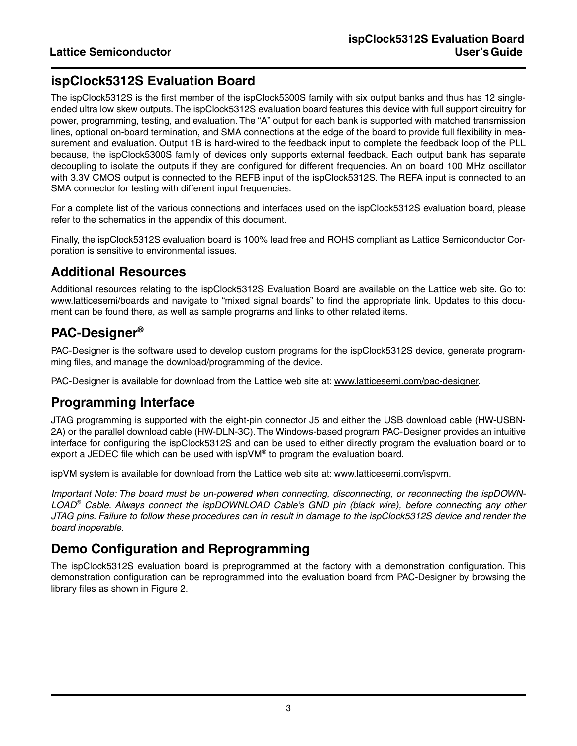# **ispClock5312S Evaluation Board**

The ispClock5312S is the first member of the ispClock5300S family with six output banks and thus has 12 singleended ultra low skew outputs. The ispClock5312S evaluation board features this device with full support circuitry for power, programming, testing, and evaluation. The "A" output for each bank is supported with matched transmission lines, optional on-board termination, and SMA connections at the edge of the board to provide full flexibility in measurement and evaluation. Output 1B is hard-wired to the feedback input to complete the feedback loop of the PLL because, the ispClock5300S family of devices only supports external feedback. Each output bank has separate decoupling to isolate the outputs if they are configured for different frequencies. An on board 100 MHz oscillator with 3.3V CMOS output is connected to the REFB input of the ispClock5312S. The REFA input is connected to an SMA connector for testing with different input frequencies.

For a complete list of the various connections and interfaces used on the ispClock5312S evaluation board, please refer to the schematics in the appendix of this document.

Finally, the ispClock5312S evaluation board is 100% lead free and ROHS compliant as Lattice Semiconductor Corporation is sensitive to environmental issues.

## **Additional Resources**

Additional resources relating to the ispClock5312S Evaluation Board are available on the Lattice web site. Go to: www.latticesemi/boards and navigate to "mixed signal boards" to find the appropriate link. Updates to this document can be found there, as well as sample programs and links to other related items.

# **PAC-Designer®**

PAC-Designer is the software used to develop custom programs for the ispClock5312S device, generate programming files, and manage the download/programming of the device.

PAC-Designer is available for download from the Lattice web site at: www.latticesemi.com/pac-designer.

## **Programming Interface**

JTAG programming is supported with the eight-pin connector J5 and either the USB download cable (HW-USBN-2A) or the parallel download cable (HW-DLN-3C). The Windows-based program PAC-Designer provides an intuitive interface for configuring the ispClock5312S and can be used to either directly program the evaluation board or to export a JEDEC file which can be used with isp $VM^{\circ}$  to program the evaluation board.

ispVM system is available for download from the Lattice web site at: www.latticesemi.com/ispvm.

*Important Note: The board must be un-powered when connecting, disconnecting, or reconnecting the ispDOWN-LOAD® Cable. Always connect the ispDOWNLOAD Cable's GND pin (black wire), before connecting any other JTAG pins. Failure to follow these procedures can in result in damage to the ispClock5312S device and render the board inoperable.*

# **Demo Configuration and Reprogramming**

The ispClock5312S evaluation board is preprogrammed at the factory with a demonstration configuration. This demonstration configuration can be reprogrammed into the evaluation board from PAC-Designer by browsing the library files as shown in [Figure 2.](#page-3-0)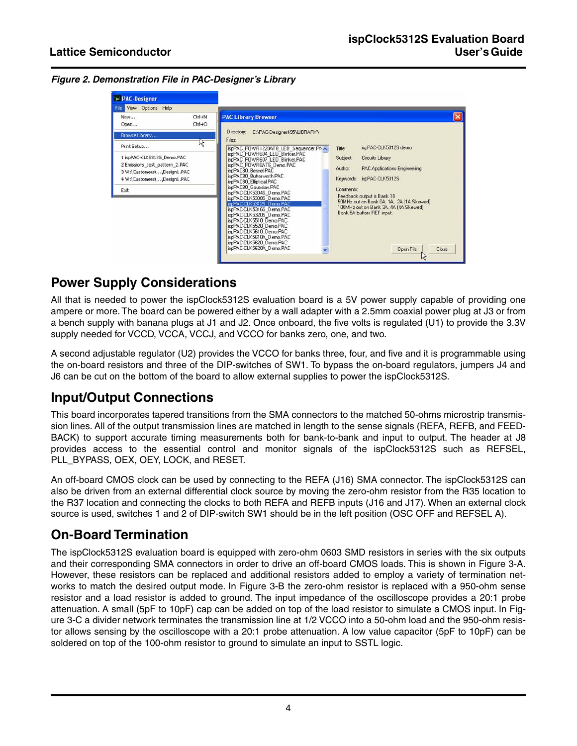<span id="page-3-0"></span>

| Figure 2. Demonstration File in PAC-Designer's Library |  |  |
|--------------------------------------------------------|--|--|
|                                                        |  |  |



## **Power Supply Considerations**

All that is needed to power the ispClock5312S evaluation board is a 5V power supply capable of providing one ampere or more. The board can be powered either by a wall adapter with a 2.5mm coaxial power plug at J3 or from a bench supply with banana plugs at J1 and J2. Once onboard, the five volts is regulated (U1) to provide the 3.3V supply needed for VCCD, VCCA, VCCJ, and VCCO for banks zero, one, and two.

A second adjustable regulator (U2) provides the VCCO for banks three, four, and five and it is programmable using the on-board resistors and three of the DIP-switches of SW1. To bypass the on-board regulators, jumpers J4 and J6 can be cut on the bottom of the board to allow external supplies to power the ispClock5312S.

# **Input/Output Connections**

This board incorporates tapered transitions from the SMA connectors to the matched 50-ohms microstrip transmission lines. All of the output transmission lines are matched in length to the sense signals (REFA, REFB, and FEED-BACK) to support accurate timing measurements both for bank-to-bank and input to output. The header at J8 provides access to the essential control and monitor signals of the ispClock5312S such as REFSEL, PLL\_BYPASS, OEX, OEY, LOCK, and RESET.

An off-board CMOS clock can be used by connecting to the REFA (J16) SMA connector. The ispClock5312S can also be driven from an external differential clock source by moving the zero-ohm resistor from the R35 location to the R37 location and connecting the clocks to both REFA and REFB inputs (J16 and J17). When an external clock source is used, switches 1 and 2 of DIP-switch SW1 should be in the left position (OSC OFF and REFSEL A).

# **On-Board Termination**

The ispClock5312S evaluation board is equipped with zero-ohm 0603 SMD resistors in series with the six outputs and their corresponding SMA connectors in order to drive an off-board CMOS loads. This is shown in Figure 3-A. However, these resistors can be replaced and additional resistors added to employ a variety of termination networks to match the desired output mode. In Figure 3-B the zero-ohm resistor is replaced with a 950-ohm sense resistor and a load resistor is added to ground. The input impedance of the oscilloscope provides a 20:1 probe attenuation. A small (5pF to 10pF) cap can be added on top of the load resistor to simulate a CMOS input. In Figure 3-C a divider network terminates the transmission line at 1/2 VCCO into a 50-ohm load and the 950-ohm resistor allows sensing by the oscilloscope with a 20:1 probe attenuation. A low value capacitor (5pF to 10pF) can be soldered on top of the 100-ohm resistor to ground to simulate an input to SSTL logic.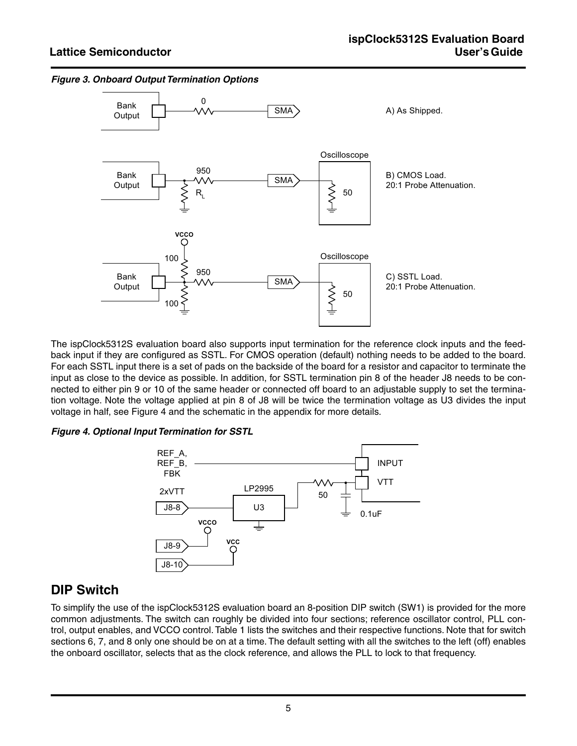

*Figure 3. Onboard Output Termination Options*

The ispClock5312S evaluation board also supports input termination for the reference clock inputs and the feedback input if they are configured as SSTL. For CMOS operation (default) nothing needs to be added to the board. For each SSTL input there is a set of pads on the backside of the board for a resistor and capacitor to terminate the input as close to the device as possible. In addition, for SSTL termination pin 8 of the header J8 needs to be connected to either pin 9 or 10 of the same header or connected off board to an adjustable supply to set the termination voltage. Note the voltage applied at pin 8 of J8 will be twice the termination voltage as U3 divides the input voltage in half, see Figure 4 and the schematic in the appendix for more details.

### *Figure 4. Optional Input Termination for SSTL*



## **DIP Switch**

To simplify the use of the ispClock5312S evaluation board an 8-position DIP switch (SW1) is provided for the more common adjustments. The switch can roughly be divided into four sections; reference oscillator control, PLL control, output enables, and VCCO control. Table 1 lists the switches and their respective functions. Note that for switch sections 6, 7, and 8 only one should be on at a time. The default setting with all the switches to the left (off) enables the onboard oscillator, selects that as the clock reference, and allows the PLL to lock to that frequency.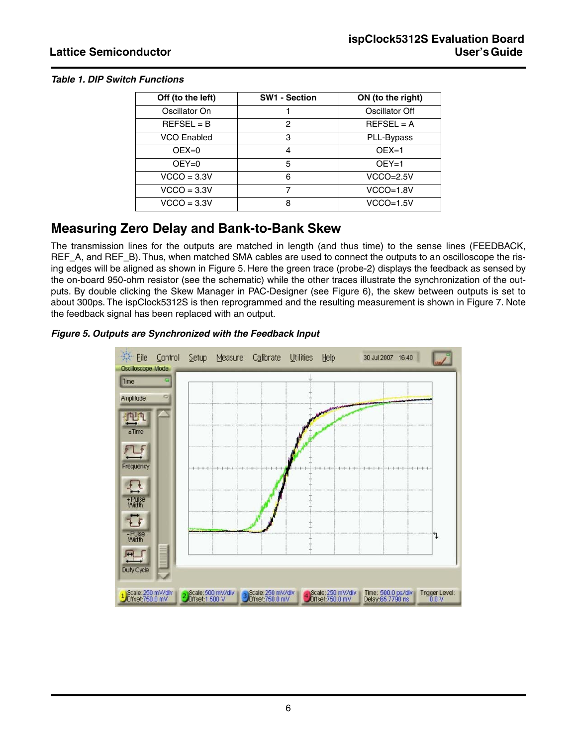#### *Table 1. DIP Switch Functions*

| Off (to the left)  | <b>SW1 - Section</b> | ON (to the right) |
|--------------------|----------------------|-------------------|
| Oscillator On      |                      | Oscillator Off    |
| $REFSEL = B$       | 2                    | $REFSEL = A$      |
| <b>VCO Enabled</b> | 3                    | PLL-Bypass        |
| $OEX=0$            | 4                    | $OEX=1$           |
| $OEY=0$            | 5                    | $OEY=1$           |
| $VCCO = 3.3V$      | 6                    | $VCCO=2.5V$       |
| $VCCO = 3.3V$      |                      | $VCCO=1.8V$       |
| $VCCO = 3.3V$      | 8                    | $VCCO=1.5V$       |

## **Measuring Zero Delay and Bank-to-Bank Skew**

The transmission lines for the outputs are matched in length (and thus time) to the sense lines (FEEDBACK, REF\_A, and REF\_B). Thus, when matched SMA cables are used to connect the outputs to an oscilloscope the rising edges will be aligned as shown in Figure 5. Here the green trace (probe-2) displays the feedback as sensed by the on-board 950-ohm resistor (see the schematic) while the other traces illustrate the synchronization of the outputs. By double clicking the Skew Manager in PAC-Designer (see Figure 6), the skew between outputs is set to about 300ps. The ispClock5312S is then reprogrammed and the resulting measurement is shown in Figure 7. Note the feedback signal has been replaced with an output.

### *Figure 5. Outputs are Synchronized with the Feedback Input*

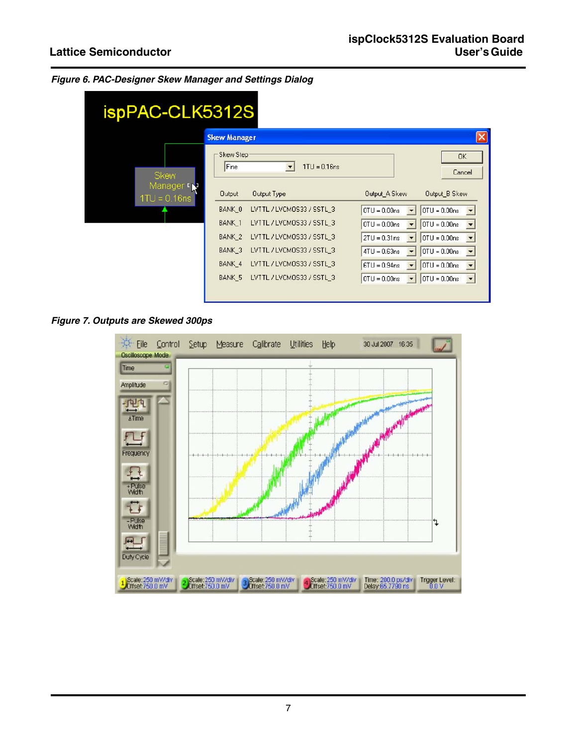|  |  | Figure 6. PAC-Designer Skew Manager and Settings Dialog |  |  |
|--|--|---------------------------------------------------------|--|--|
|  |  |                                                         |  |  |

| ispPAC-CLK5312S             |                     |                                         |                                                              |  |  |
|-----------------------------|---------------------|-----------------------------------------|--------------------------------------------------------------|--|--|
|                             | <b>Skew Manager</b> |                                         |                                                              |  |  |
| <b>Skew</b>                 | Skew Step-<br>Fine  | $1TU = 0.16$ ns<br>$\blacktriangledown$ | <b>OK</b><br>Cancel                                          |  |  |
| Manager r<br>$1TU = 0.16ns$ | <b>Output</b>       | Output Type                             | Output A Skew<br>Output B Skew                               |  |  |
|                             | BANK 0              | LVTTL / LVCMOS33 / SSTL_3               | $OTU = 0.00ns$<br>$0TU = 0.00ns$<br>$\blacktriangledown$     |  |  |
|                             | <b>BANK 1</b>       | LVTTL / LVCMOS33 / SSTL 3               | $OTU = 0.00ns$<br>$0TU = 0.00ns$                             |  |  |
|                             | BANK <sub>2</sub>   | LVTTL / LVCMOS33 / SSTL 3               | $OTU = 0.00ns$<br>$2TU = 0.31ns$<br>$\overline{\phantom{a}}$ |  |  |
|                             | BANK <sub>3</sub>   | LVTTL / LVCMOS33 / SSTL 3               | $OTU = 0.00ns$<br>$4TU = 0.63ns$                             |  |  |
|                             | BANK 4              | LVTTL / LVCMDS33 / SSTL 3               | $OTU = 0.00ns$<br>$6TU = 0.94$ ns<br>۰                       |  |  |
|                             | BANK 5              | LVTTL / LVCMOS33 / SSTL 3               | $OTU = 0.00ns$<br>$0TU = 0.00ns$                             |  |  |

*Figure 7. Outputs are Skewed 300ps*

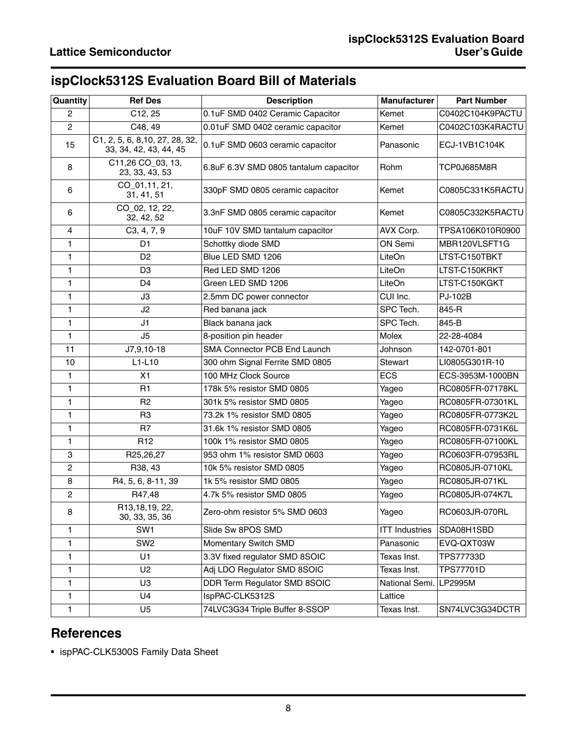# **ispClock5312S Evaluation Board Bill of Materials**

| Quantity         | <b>Ref Des</b>                                            | <b>Description</b>                     | <b>Manufacturer</b>   | <b>Part Number</b> |
|------------------|-----------------------------------------------------------|----------------------------------------|-----------------------|--------------------|
| $\mathbf{2}$     | C12, 25                                                   | 0.1uF SMD 0402 Ceramic Capacitor       | Kemet                 | C0402C104K9PACTU   |
| $\overline{c}$   | C48, 49                                                   | 0.01uF SMD 0402 ceramic capacitor      | Kemet                 | C0402C103K4RACTU   |
| 15               | C1, 2, 5, 6, 8, 10, 27, 28, 32,<br>33, 34, 42, 43, 44, 45 | 0.1uF SMD 0603 ceramic capacitor       | Panasonic             | ECJ-1VB1C104K      |
| 8                | C11,26 CO_03, 13,<br>23, 33, 43, 53                       | 6.8uF 6.3V SMD 0805 tantalum capacitor | Rohm                  | TCP0J685M8R        |
| 6                | CO_01,11, 21,<br>31, 41, 51                               | 330pF SMD 0805 ceramic capacitor       | Kemet                 | C0805C331K5RACTU   |
| 6                | CO_02, 12, 22,<br>32, 42, 52                              | 3.3nF SMD 0805 ceramic capacitor       | Kemet                 | C0805C332K5RACTU   |
| 4                | C3, 4, 7, 9                                               | 10uF 10V SMD tantalum capacitor        | AVX Corp.             | TPSA106K010R0900   |
| 1                | D <sub>1</sub>                                            | Schottky diode SMD                     | ON Semi               | MBR120VLSFT1G      |
| 1                | D <sub>2</sub>                                            | Blue LED SMD 1206                      | LiteOn                | LTST-C150TBKT      |
| 1                | D <sub>3</sub>                                            | Red LED SMD 1206                       | LiteOn                | LTST-C150KRKT      |
| 1                | D <sub>4</sub>                                            | Green LED SMD 1206                     | LiteOn                | LTST-C150KGKT      |
| 1                | JЗ                                                        | 2.5mm DC power connector               | CUI Inc.              | PJ-102B            |
| 1                | J2                                                        | Red banana jack                        | SPC Tech.             | 845-R              |
| 1                | J1                                                        | Black banana jack                      | SPC Tech.             | 845-B              |
| 1                | J <sub>5</sub>                                            | 8-position pin header                  | Molex                 | 22-28-4084         |
| 11               | J7,9,10-18                                                | SMA Connector PCB End Launch           | Johnson               | 142-0701-801       |
| 10               | $L1-L10$                                                  | 300 ohm Signal Ferrite SMD 0805        | Stewart               | LI0805G301R-10     |
| 1                | X1                                                        | 100 MHz Clock Source                   | <b>ECS</b>            | ECS-3953M-1000BN   |
| 1                | R <sub>1</sub>                                            | 178k 5% resistor SMD 0805              | Yageo                 | RC0805FR-07178KL   |
| 1                | R <sub>2</sub>                                            | 301k 5% resistor SMD 0805              | Yageo                 | RC0805FR-07301KL   |
| 1                | R <sub>3</sub>                                            | 73.2k 1% resistor SMD 0805             | Yageo                 | RC0805FR-0773K2L   |
| 1                | R <sub>7</sub>                                            | 31.6k 1% resistor SMD 0805             | Yageo                 | RC0805FR-0731K6L   |
| 1                | R <sub>12</sub>                                           | 100k 1% resistor SMD 0805              | Yageo                 | RC0805FR-07100KL   |
| 3                | R25,26,27                                                 | 953 ohm 1% resistor SMD 0603           | Yageo                 | RC0603FR-07953RL   |
| $\boldsymbol{2}$ | R38, 43                                                   | 10k 5% resistor SMD 0805               | Yageo                 | RC0805JR-0710KL    |
| 8                | R4, 5, 6, 8-11, 39                                        | 1k 5% resistor SMD 0805                | Yageo                 | RC0805JR-071KL     |
| $\overline{c}$   | R47,48                                                    | 4.7k 5% resistor SMD 0805              | Yageo                 | RC0805JR-074K7L    |
| 8                | R13,18,19, 22,<br>30, 33, 35, 36                          | Zero-ohm resistor 5% SMD 0603          | Yageo                 | RC0603JR-070RL     |
| 1                | SW <sub>1</sub>                                           | Slide Sw 8POS SMD                      | <b>ITT Industries</b> | SDA08H1SBD         |
| 1                | SW <sub>2</sub>                                           | Momentary Switch SMD                   | Panasonic             | EVQ-QXT03W         |
| 1                | U1                                                        | 3.3V fixed regulator SMD 8SOIC         | Texas Inst.           | TPS77733D          |
| 1                | U <sub>2</sub>                                            | Adj LDO Regulator SMD 8SOIC            | Texas Inst.           | TPS77701D          |
| 1                | U <sub>3</sub>                                            | DDR Term Regulator SMD 8SOIC           | National Semi.        | LP2995M            |
| $\mathbf{1}$     | U4                                                        | IspPAC-CLK5312S                        | Lattice               |                    |
| 1                | U <sub>5</sub>                                            | 74LVC3G34 Triple Buffer 8-SSOP         | Texas Inst.           | SN74LVC3G34DCTR    |

# **References**

• ispPAC-CLK5300S Family Data Sheet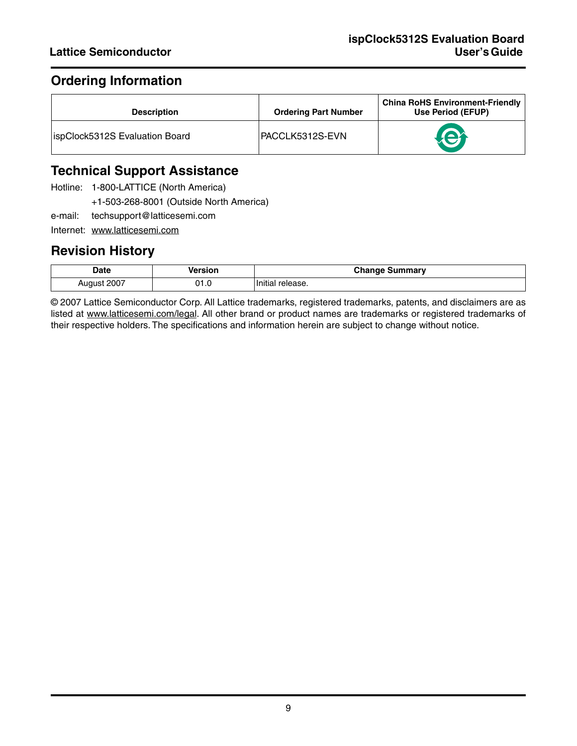# **Ordering Information**

| <b>Description</b>                     | <b>Ordering Part Number</b> | <b>China RoHS Environment-Friendly</b><br>Use Period (EFUP) |
|----------------------------------------|-----------------------------|-------------------------------------------------------------|
| <b>lispClock5312S Evaluation Board</b> | PACCLK5312S-EVN             |                                                             |

# **Technical Support Assistance**

- Hotline: 1-800-LATTICE (North America)
	- +1-503-268-8001 (Outside North America)
- e-mail: techsupport@latticesemi.com
- Internet: www.latticesemi.com

## **Revision History**

| <b>Date</b><br>. | /ersion | Change<br>Summary |
|------------------|---------|-------------------|
| 2007 ،           | ∩⊣      | Initial           |
| August           | J I .U  | release.          |

© 2007 Lattice Semiconductor Corp. All Lattice trademarks, registered trademarks, patents, and disclaimers are as listed at www.latticesemi.com/legal. All other brand or product names are trademarks or registered trademarks of their respective holders. The specifications and information herein are subject to change without notice.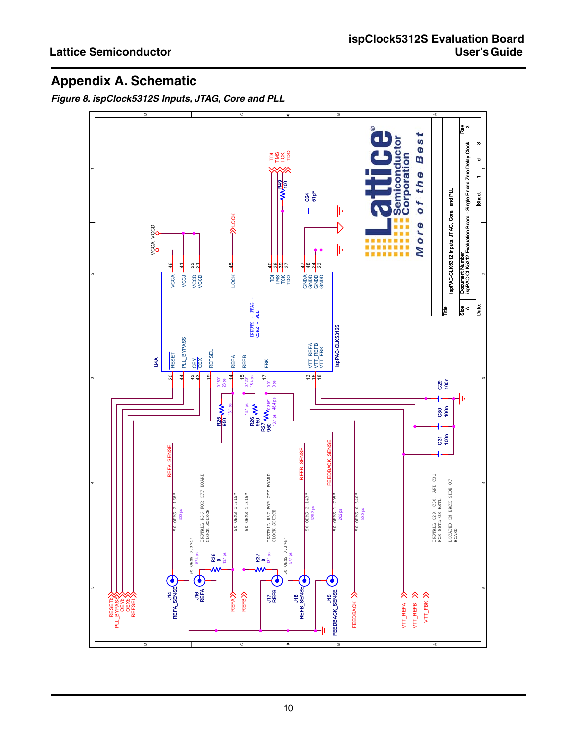# **Appendix A. Schematic**

*Figure 8. ispClock5312S Inputs, JTAG, Core and PLL*

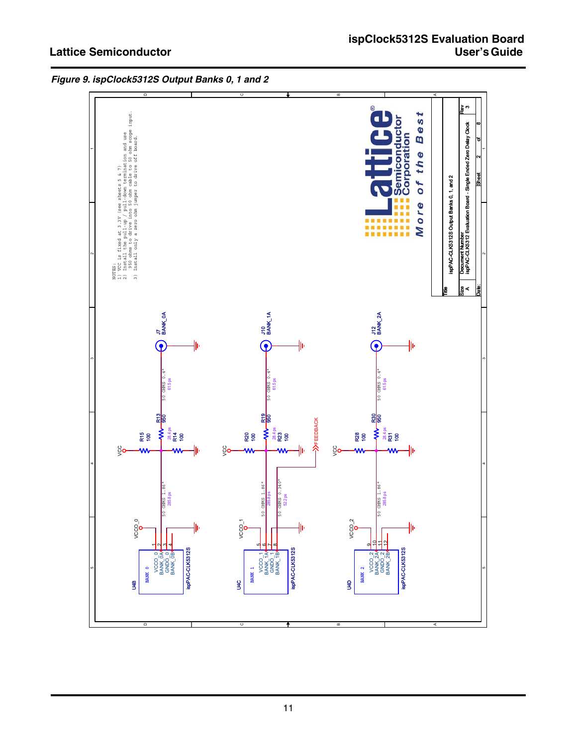

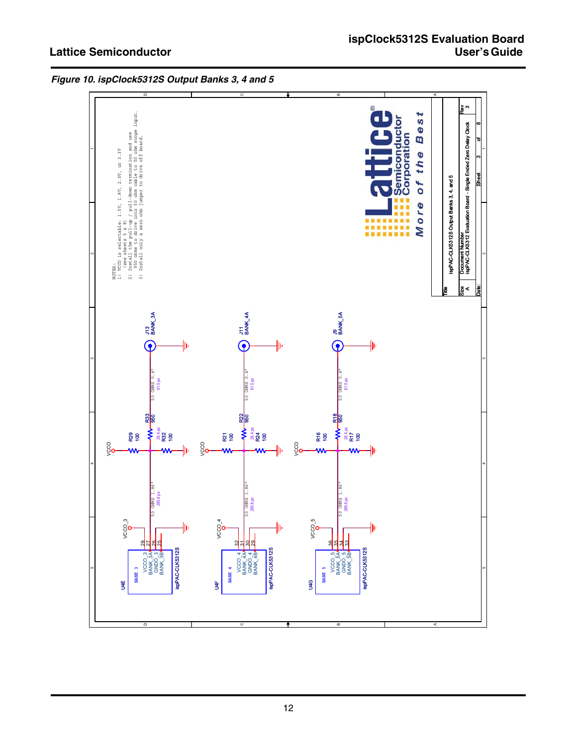

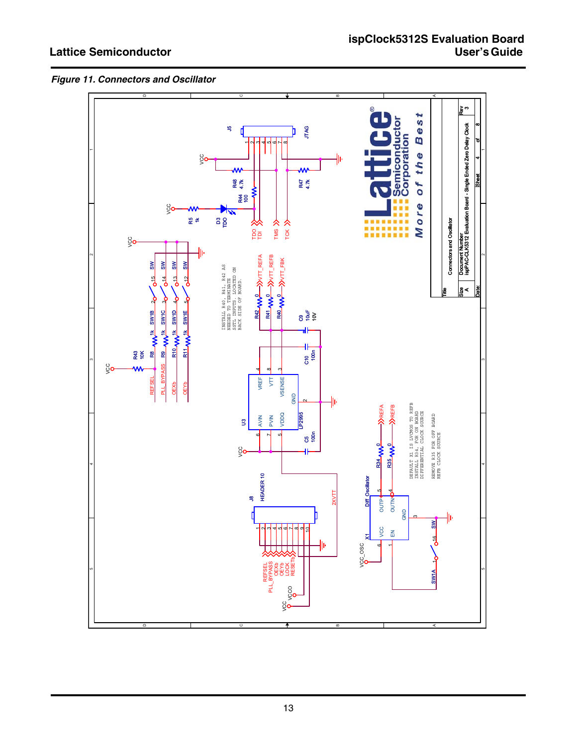

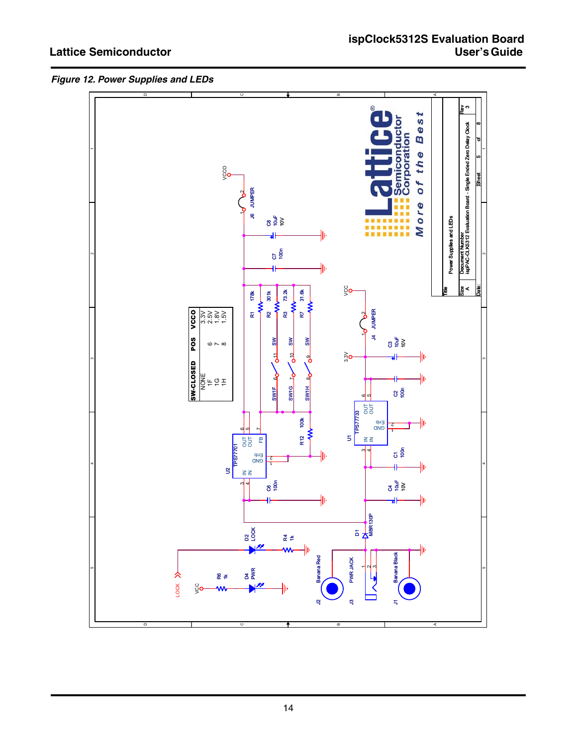

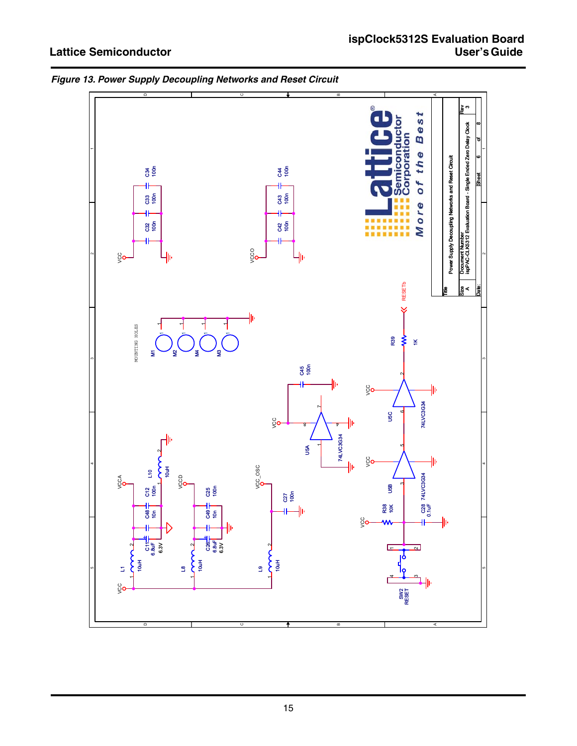

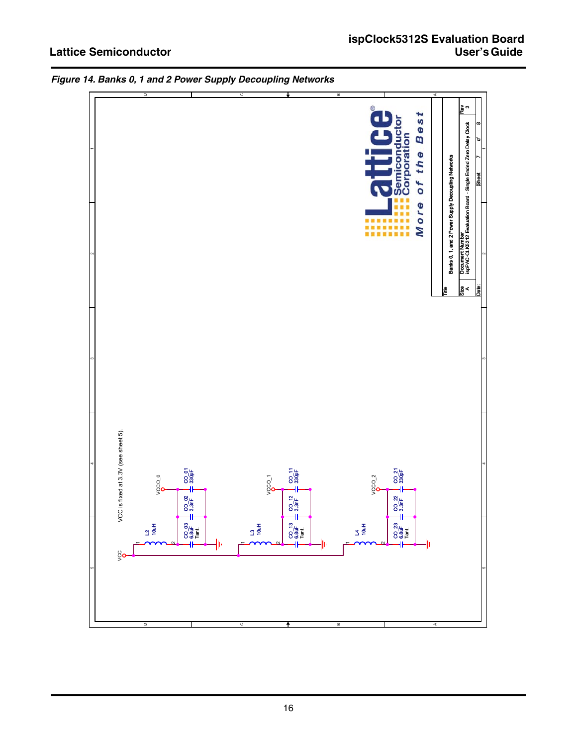

*Figure 14. Banks 0, 1 and 2 Power Supply Decoupling Networks*